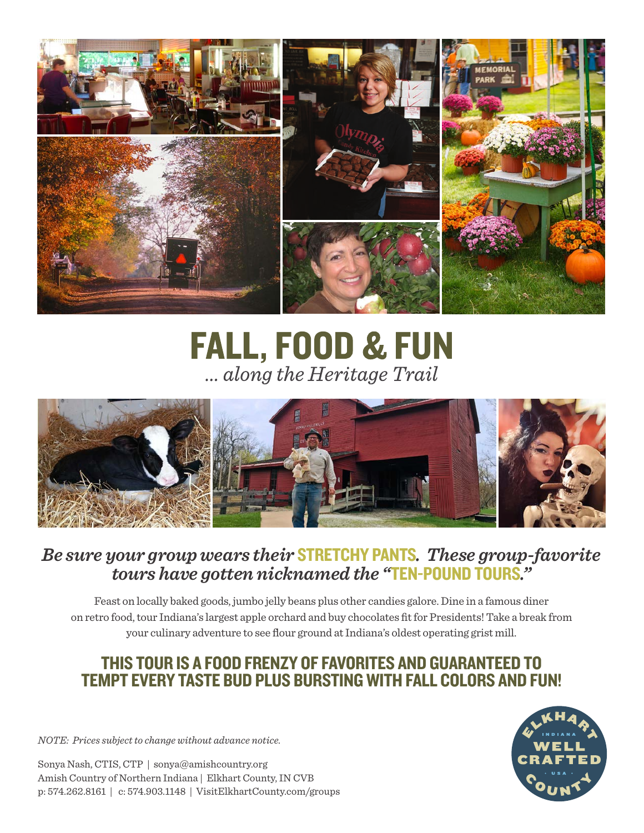

**FALL, FOOD & FUN** ... along the Heritage Trail



# *Be sure your group wears their* STRETCHY PANTS*. These group-favorite tours have gotten nicknamed the "*TEN-POUND TOURS*."*

Feast on locally baked goods, jumbo jelly beans plus other candies galore. Dine in a famous diner on retro food, tour Indiana's largest apple orchard and buy chocolates fit for Presidents! Take a break from your culinary adventure to see flour ground at Indiana's oldest operating grist mill.

# THIS TOUR IS A FOOD FRENZY OF FAVORITES AND GUARANTEED TO TEMPT EVERY TASTE BUD PLUS BURSTING WITH FALL COLORS AND FUN!

*NOTE: Prices subject to change without advance notice.*

Sonya Nash, CTIS, CTP | sonya@amishcountry.org Amish Country of Northern Indiana | Elkhart County, IN CVB p: 574.262.8161 | c: 574.903.1148 | VisitElkhartCounty.com/groups

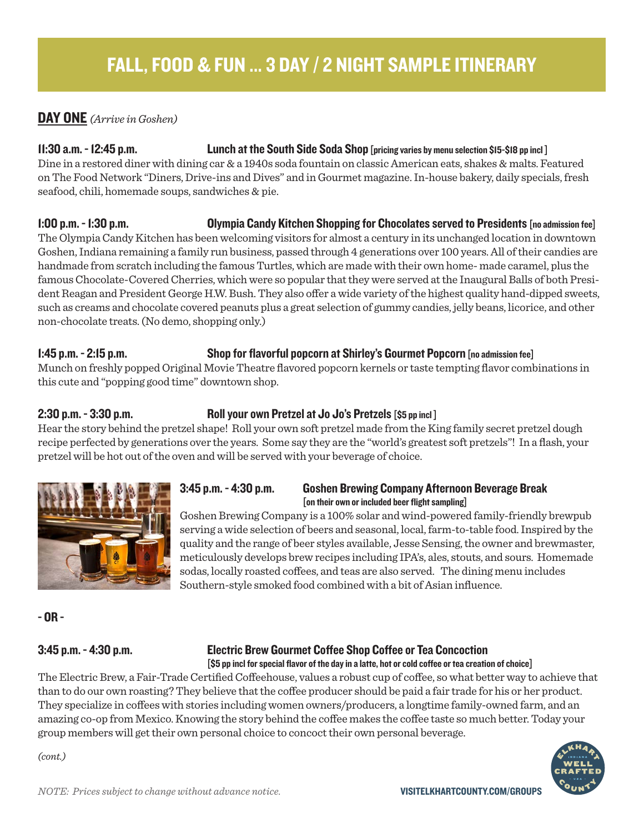### DAY ONE *(Arrive in Goshen)*

### 11:30 a.m. - 12:45 p.m. Lunch at the South Side Soda Shop [pricing varies by menu selection \$15-\$18 pp incl ]

Dine in a restored diner with dining car & a 1940s soda fountain on classic American eats, shakes & malts. Featured on The Food Network "Diners, Drive-ins and Dives" and in Gourmet magazine. In-house bakery, daily specials, fresh seafood, chili, homemade soups, sandwiches & pie.

1:00 p.m. - 1:30 p.m. Olympia Candy Kitchen Shopping for Chocolates served to Presidents [no admission fee] The Olympia Candy Kitchen has been welcoming visitors for almost a century in its unchanged location in downtown Goshen, Indiana remaining a family run business, passed through 4 generations over 100 years. All of their candies are handmade from scratch including the famous Turtles, which are made with their own home- made caramel, plus the famous Chocolate-Covered Cherries, which were so popular that they were served at the Inaugural Balls of both President Reagan and President George H.W. Bush. They also offer a wide variety of the highest quality hand-dipped sweets, such as creams and chocolate covered peanuts plus a great selection of gummy candies, jelly beans, licorice, and other non-chocolate treats. (No demo, shopping only.)

# 1:45 p.m. - 2:15 p.m. Shop for flavorful popcorn at Shirley's Gourmet Popcorn [no admission fee]

Munch on freshly popped Original Movie Theatre flavored popcorn kernels or taste tempting flavor combinations in this cute and "popping good time" downtown shop.

### 2:30 p.m. - 3:30 p.m. Roll your own Pretzel at Jo Jo's Pretzels [\$5 pp incl]

Hear the story behind the pretzel shape! Roll your own soft pretzel made from the King family secret pretzel dough recipe perfected by generations over the years. Some say they are the "world's greatest soft pretzels"! In a flash, your pretzel will be hot out of the oven and will be served with your beverage of choice.



# 3:45 p.m. - 4:30 p.m. Goshen Brewing Company Afternoon Beverage Break<br>[on their own or included beer flight sampling]

Goshen Brewing Company is a 100% solar and wind-powered family-friendly brewpub serving a wide selection of beers and seasonal, local, farm-to-table food. Inspired by the quality and the range of beer styles available, Jesse Sensing, the owner and brewmaster, meticulously develops brew recipes including IPA's, ales, stouts, and sours. Homemade sodas, locally roasted coffees, and teas are also served. The dining menu includes Southern-style smoked food combined with a bit of Asian influence.

- OR -

*(cont.)*

### 3:45 p.m. - 4:30 p.m. Electric Brew Gourmet Coffee Shop Coffee or Tea Concoction [\$5 pp incl for special flavor of the day in a latte, hot or cold coffee or tea creation of choice]

The Electric Brew, a Fair-Trade Certified Coffeehouse, values a robust cup of coffee, so what better way to achieve that than to do our own roasting?They believe that the coffee producer should be paid a fair trade for his or her product. They specialize in coffees with stories including women owners/producers, a longtime family-owned farm, and an amazing co-op from Mexico. Knowing the story behind the coffee makes the coffee taste so much better. Today your group members will get their own personal choice to concoct their own personal beverage.

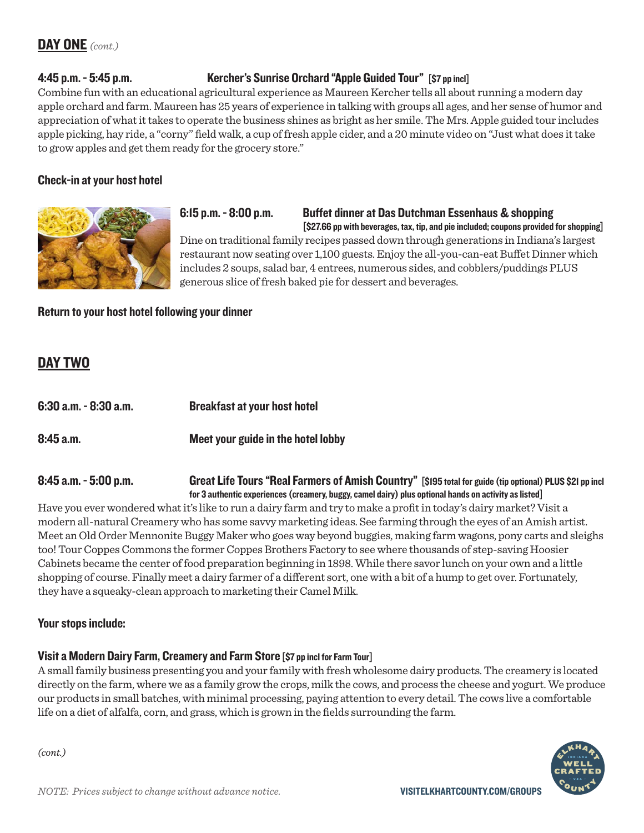### 4:45 p.m. - 5:45 p.m. Kercher's Sunrise Orchard "Apple Guided Tour" [\$7 pp incl]

Combine fun with an educational agricultural experience as Maureen Kercher tells all about running a modern day apple orchard and farm. Maureen has 25 years of experience in talking with groups all ages, and her sense of humor and appreciation of what it takes to operate the business shines as bright as her smile. The Mrs. Apple guided tour includes apple picking, hay ride, a "corny" field walk, a cup of fresh apple cider, and a 20 minute video on "Just what does it take to grow apples and get them ready for the grocery store."

### Check-in at your host hotel



6:15 p.m. - 8:00 p.m. Buffet dinner at Das Dutchman Essenhaus & shopping<br>[\$27.66 pp with beverages, tax, tip, and pie included; coupons provided for shopping]

Dine on traditional family recipes passed down through generations in Indiana's largest restaurant now seating over 1,100 guests. Enjoy the all-you-can-eat Buffet Dinner which includes 2 soups, salad bar, 4 entrees, numerous sides, and cobblers/puddings PLUS generous slice of fresh baked pie for dessert and beverages.

Return to your host hotel following your dinner

### DAY TWO

| 6:30 a.m. - 8:30 a.m. | <b>Breakfast at your host hotel</b> |
|-----------------------|-------------------------------------|
| 8:45 a.m.             | Meet your guide in the hotel lobby  |

### 8:45 a.m. - 5:00 p.m. Great Life Tours "Real Farmers of Amish Country" [\$195 total for guide (tip optional) PLUS \$21 pp incl for 3 authentic experiences (creamery, buggy, camel dairy) plus optional hands on activity as listed]

Have you ever wondered what it's like to run a dairy farm and try to make a profit in today's dairy market? Visit a modern all-natural Creamery who has some savvy marketing ideas. See farming through the eyes of an Amish artist. Meet an Old Order Mennonite Buggy Maker who goes way beyond buggies, making farm wagons, pony carts and sleighs too! Tour Coppes Commons the former Coppes Brothers Factory to see where thousands of step-saving Hoosier Cabinets became the center of food preparation beginning in 1898. While there savor lunch on your own and a little shopping of course. Finally meet a dairy farmer of a different sort, one with a bit of a hump to get over. Fortunately, they have a squeaky-clean approach to marketing their Camel Milk.

### Your stops include:

### Visit a Modern Dairy Farm, Creamery and Farm Store [\$7 pp incl for Farm Tour]

A small family business presenting you and your family with fresh wholesome dairy products. The creamery is located directly on the farm, where we as a family grow the crops, milk the cows, and process the cheese and yogurt. We produce our products in small batches, with minimal processing, paying attention to every detail. The cows live a comfortable life on a diet of alfalfa, corn, and grass, which is grown in the fields surrounding the farm.



*(cont.)*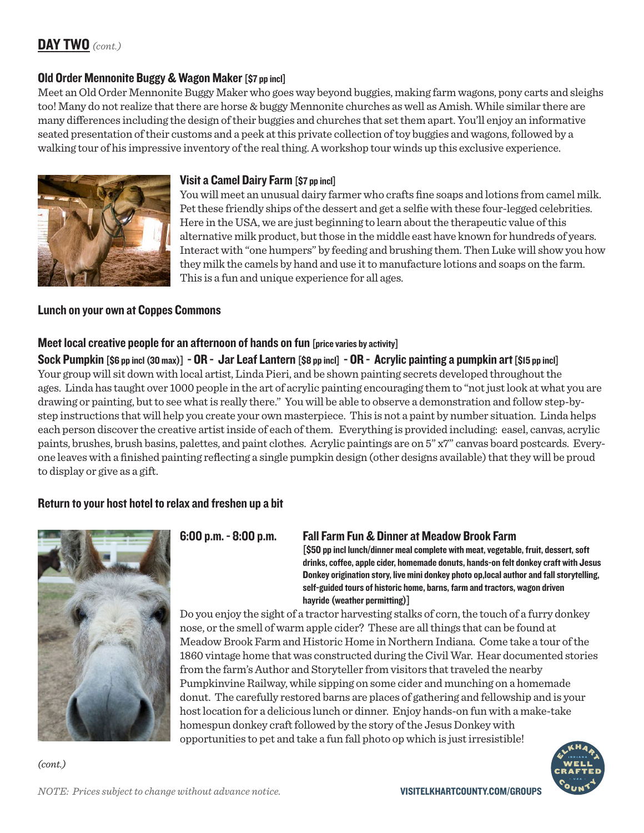# DAY TWO *(cont.)*

### Old Order Mennonite Buggy & Wagon Maker [\$7 pp incl]

Meet an Old Order Mennonite Buggy Maker who goes way beyond buggies, making farm wagons, pony carts and sleighs too! Many do not realize that there are horse & buggy Mennonite churches as well as Amish. While similar there are many differences including the design of their buggies and churches that set them apart. You'll enjoy an informative seated presentation of their customs and a peek at this private collection of toy buggies and wagons, followed by a walking tour of his impressive inventory of the real thing. A workshop tour winds up this exclusive experience.



### Visit a Camel Dairy Farm [\$7 pp incl]

You will meet an unusual dairy farmer who crafts fine soaps and lotions from camel milk. Pet these friendly ships of the dessert and get a selfie with these four-legged celebrities. Here in the USA, we are just beginning to learn about the therapeutic value of this alternative milk product, but those in the middle east have known for hundreds of years. Interact with "one humpers" by feeding and brushing them. Then Luke will show you how they milk the camels by hand and use it to manufacture lotions and soaps on the farm. This is a fun and unique experience for all ages.

### Lunch on your own at Coppes Commons

### Meet local creative people for an afternoon of hands on fun [price varies by activity]

Sock Pumpkin  $[$6p$  pp incl  $(30 \text{ max})] - OR -$  Jar Leaf Lantern  $[$8p$  pp incl]  $- OR -$  Acrylic painting a pumpkin art  $[$15 pp$  incl] Your group will sit down with local artist, Linda Pieri, and be shown painting secrets developed throughout the ages. Linda has taught over 1000 people in the art of acrylic painting encouraging them to "not just look at what you are drawing or painting, but to see what is really there." You will be able to observe a demonstration and follow step-bystep instructions that will help you create your own masterpiece. This is not a paint by number situation. Linda helps each person discover the creative artist inside of each of them. Everything is provided including: easel, canvas, acrylic paints, brushes, brush basins, palettes, and paint clothes. Acrylic paintings are on 5" x7" canvas board postcards. Everyone leaves with a finished painting reflecting a single pumpkin design (other designs available) that they will be proud to display or give as a gift.

### Return to your host hotel to relax and freshen up a bit



*(cont.)*

6:00 p.m. - 8:00 p.m. Fall Farm Fun & Dinner at Meadow Brook Farm<br>[\$50 pp incl lunch/dinner meal complete with meat, vegetable, fruit, dessert, soft drinks, coffee, apple cider, homemade donuts, hands-on felt donkey craft with Jesus Donkey origination story, live mini donkey photo op,local author and fall storytelling, self-guided tours of historic home, barns, farm and tractors, wagon driven hayride (weather permitting)]

Do you enjoy the sight of a tractor harvesting stalks of corn, the touch of a furry donkey nose, or the smell of warm apple cider? These are all things that can be found at Meadow Brook Farm and Historic Home in Northern Indiana. Come take a tour of the 1860 vintage home that was constructed during the Civil War. Hear documented stories from the farm's Author and Storyteller from visitors that traveled the nearby Pumpkinvine Railway, while sipping on some cider and munching on a homemade donut. The carefully restored barns are places of gathering and fellowship and is your host location for a delicious lunch or dinner. Enjoy hands-on fun with a make-take homespun donkey craft followed by the story of the Jesus Donkey with opportunities to pet and take a fun fall photo op which is just irresistible!

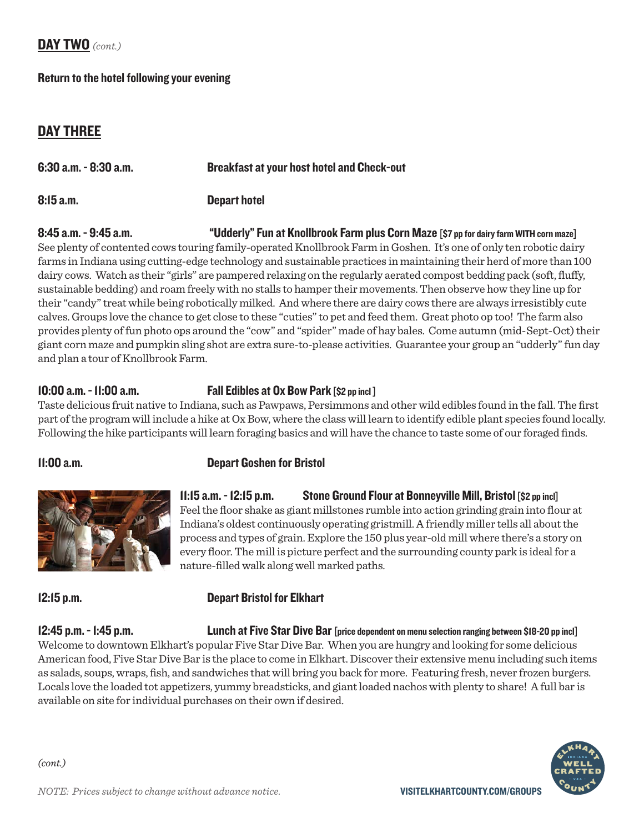### DAY TWO *(cont.)*

### Return to the hotel following your evening

### DAY THREE

| $6:30$ a.m. $-8:30$ a.m. | <b>Breakfast at your host hotel and Check-out</b> |
|--------------------------|---------------------------------------------------|
| 8:15a.m.                 | <b>Depart hotel</b>                               |

# 8:45 a.m. - 9:45 a.m. "Idderly" Fun at Knollbrook Farm plus Corn Maze [\$7 pp for dairy farm WITH corn maze]

See plenty of contented cows touring family-operated Knollbrook Farm in Goshen. It's one of only ten robotic dairy farms in Indiana using cutting-edge technology and sustainable practices in maintaining their herd of more than 100 dairy cows. Watch as their "girls" are pampered relaxing on the regularly aerated compost bedding pack (soft, fluffy, sustainable bedding) and roam freely with no stalls to hamper their movements. Then observe how they line up for their "candy" treat while being robotically milked. And where there are dairy cows there are always irresistibly cute calves. Groups love the chance to get close to these "cuties" to pet and feed them. Great photo op too! The farm also provides plenty of fun photo ops around the "cow" and "spider" made of hay bales. Come autumn (mid-Sept-Oct) their giant corn maze and pumpkin sling shot are extra sure-to-please activities. Guarantee your group an "udderly" fun day and plan a tour of Knollbrook Farm.

### 10:00 a.m. - 11:00 a.m. Fall Edibles at Ox Bow Park [\$2 pp incl ]

Taste delicious fruit native to Indiana, such as Pawpaws, Persimmons and other wild edibles found in the fall. The first part of the program will include a hike at Ox Bow, where the class will learn to identify edible plant species found locally. Following the hike participants will learn foraging basics and will have the chance to taste some of our foraged finds.

> 11:15 a.m. - 12:15 p.m. Stone Ground Flour at Bonneyville Mill, Bristol [\$2 pp incl] Feel the floor shake as giant millstones rumble into action grinding grain into flour at Indiana's oldest continuously operating gristmill. A friendly miller tells all about the process and types of grain. Explore the 150 plus year-old mill where there's a story on every floor. The mill is picture perfect and the surrounding county park is ideal for a

### 11:00 a.m. Depart Goshen for Bristol



### 12:15 p.m. Depart Bristol for Elkhart

nature-filled walk along well marked paths.

12:45 p.m. - 1:45 p.m. Lunch at Five Star Dive Bar [price dependent on menu selection ranging between \$18-20 pp incl] Welcome to downtown Elkhart's popular Five Star Dive Bar. When you are hungry and looking for some delicious American food, Five Star Dive Bar is the place to come in Elkhart. Discover their extensive menu including such items as salads, soups, wraps, fish, and sandwiches that will bring you back for more. Featuring fresh, never frozen burgers. Locals love the loaded tot appetizers, yummy breadsticks, and giant loaded nachos with plenty to share! A full bar is available on site for individual purchases on their own if desired.